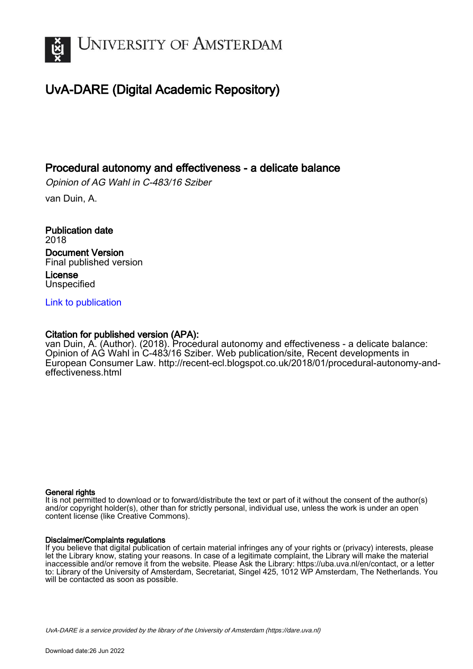

## UvA-DARE (Digital Academic Repository)

## Procedural autonomy and effectiveness - a delicate balance

Opinion of AG Wahl in C-483/16 Sziber

van Duin, A.

Publication date 2018 Document Version Final published version License Unspecified

[Link to publication](https://dare.uva.nl/personal/pure/en/publications/procedural-autonomy-and-effectiveness--a-delicate-balance(5971fd98-7f80-40b7-bbdb-caea1d0d0d47).html)

### Citation for published version (APA):

van Duin, A. (Author). (2018). Procedural autonomy and effectiveness - a delicate balance: Opinion of AG Wahl in C-483/16 Sziber. Web publication/site, Recent developments in European Consumer Law. [http://recent-ecl.blogspot.co.uk/2018/01/procedural-autonomy-and](http://recent-ecl.blogspot.co.uk/2018/01/procedural-autonomy-and-effectiveness.html)[effectiveness.html](http://recent-ecl.blogspot.co.uk/2018/01/procedural-autonomy-and-effectiveness.html)

#### General rights

It is not permitted to download or to forward/distribute the text or part of it without the consent of the author(s) and/or copyright holder(s), other than for strictly personal, individual use, unless the work is under an open content license (like Creative Commons).

#### Disclaimer/Complaints regulations

If you believe that digital publication of certain material infringes any of your rights or (privacy) interests, please let the Library know, stating your reasons. In case of a legitimate complaint, the Library will make the material inaccessible and/or remove it from the website. Please Ask the Library: https://uba.uva.nl/en/contact, or a letter to: Library of the University of Amsterdam, Secretariat, Singel 425, 1012 WP Amsterdam, The Netherlands. You will be contacted as soon as possible.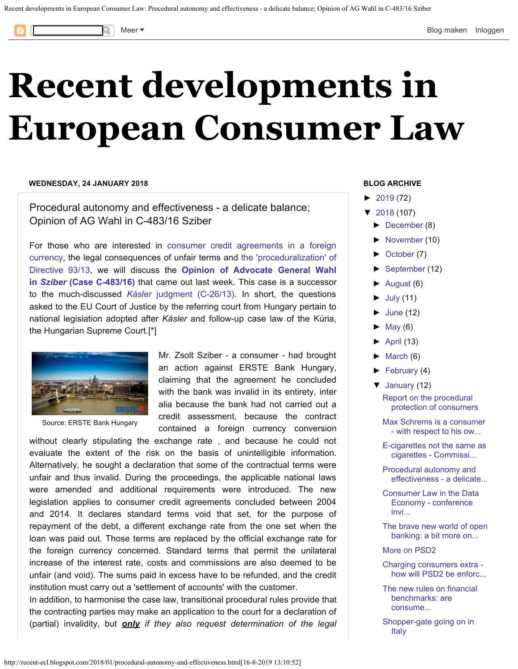<span id="page-1-0"></span>O)

# **[Recent developments in](http://recent-ecl.blogspot.com/) [European Consumer Law](http://recent-ecl.blogspot.com/)**

#### **WEDNESDAY, 24 JANUARY 2018**

Procedural autonomy and effectiveness - a delicate balance; Opinion of AG Wahl in C-483/16 Sziber

For those who are interested in [consumer credit agreements in a foreign](http://recent-ecl.blogspot.nl/2017/09/foreign-currency-loans-inform-consumers.html) [currency](http://recent-ecl.blogspot.nl/2017/09/foreign-currency-loans-inform-consumers.html), the legal consequences of unfair terms and [the 'proceduralization' of](http://recent-ecl.blogspot.nl/2017/12/the-proceduralization-of-directive-9313.html) [Directive 93/13,](http://recent-ecl.blogspot.nl/2017/12/the-proceduralization-of-directive-9313.html) we will discuss the **[Opinion of Advocate General Wahl](http://curia.europa.eu/juris/document/document.jsf?text=&docid=198449&pageIndex=0&doclang=EN&mode=req&dir=&occ=first&part=1&cid=671843) [in](http://curia.europa.eu/juris/document/document.jsf?text=&docid=198449&pageIndex=0&doclang=EN&mode=req&dir=&occ=first&part=1&cid=671843)** *[Sziber](http://curia.europa.eu/juris/document/document.jsf?text=&docid=198449&pageIndex=0&doclang=EN&mode=req&dir=&occ=first&part=1&cid=671843)* **[\(Case C-483/16\)](http://curia.europa.eu/juris/document/document.jsf?text=&docid=198449&pageIndex=0&doclang=EN&mode=req&dir=&occ=first&part=1&cid=671843)** that came out last week. This case is a successor to the much-discussed *[Kásler](http://recent-ecl.blogspot.nl/2014/05/core-and-price-terms-and-their.html)* [judgment \(C-26/13\)](http://recent-ecl.blogspot.nl/2014/05/core-and-price-terms-and-their.html). In short, the questions asked to the EU Court of Justice by the referring court from Hungary pertain to national legislation adopted after *Kásler* and follow-up case law of the Kúria, the Hungarian Supreme Court.[\*]



Source: ERSTE Bank Hungary

Mr. Zsolt Sziber - a consumer - had brought an action against ERSTE Bank Hungary, claiming that the agreement he concluded with the bank was invalid in its entirety, inter alia because the bank had not carried out a credit assessment, because the contract contained a foreign currency conversion

without clearly stipulating the exchange rate , and because he could not evaluate the extent of the risk on the basis of unintelligible information. Alternatively, he sought a declaration that some of the contractual terms were unfair and thus invalid. During the proceedings, the applicable national laws were amended and additional requirements were introduced. The new legislation applies to consumer credit agreements concluded between 2004 and 2014. It declares standard terms void that set, for the purpose of repayment of the debt, a different exchange rate from the one set when the loan was paid out. Those terms are replaced by the official exchange rate for the foreign currency concerned. Standard terms that permit the unilateral increase of the interest rate, costs and commissions are also deemed to be unfair (and void). The sums paid in excess have to be refunded, and the credit institution must carry out a 'settlement of accounts' with the customer.

In addition, to harmonise the case law, transitional procedural rules provide that the contracting parties may make an application to the court for a declaration of (partial) invalidity, but *only if they also request determination of the legal*

#### **BLOG ARCHIVE**

- $\blacktriangleright$ [2019](http://recent-ecl.blogspot.com/2019/) (72)
- [▼](javascript:void(0))[2018](http://recent-ecl.blogspot.com/2018/) (107)
	- [►](javascript:void(0))[December](http://recent-ecl.blogspot.com/2018/12/) (8)
	- [►](javascript:void(0))[November](http://recent-ecl.blogspot.com/2018/11/) (10)
	- [►](javascript:void(0))[October](http://recent-ecl.blogspot.com/2018/10/) (7)
	- [►](javascript:void(0))[September](http://recent-ecl.blogspot.com/2018/09/) (12)
	- [►](javascript:void(0))[August](http://recent-ecl.blogspot.com/2018/08/) (6)
	- $\blacktriangleright$ [July](http://recent-ecl.blogspot.com/2018/07/) (11)
	- $\blacktriangleright$ [June](http://recent-ecl.blogspot.com/2018/06/) (12)
	- $\blacktriangleright$ [May](http://recent-ecl.blogspot.com/2018/05/) (6)
	- $\blacktriangleright$ [April](http://recent-ecl.blogspot.com/2018/04/) (13)
	- $\blacktriangleright$ [March](http://recent-ecl.blogspot.com/2018/03/) (6)
	- $\blacktriangleright$ [February](http://recent-ecl.blogspot.com/2018/02/) (4)
	- [▼](javascript:void(0))[January](http://recent-ecl.blogspot.com/2018/01/) (12)

[Report on the procedural](http://recent-ecl.blogspot.com/2018/01/report-on-procedural-protection-of.html) [protection of consumers](http://recent-ecl.blogspot.com/2018/01/report-on-procedural-protection-of.html)

[Max Schrems is a consumer](http://recent-ecl.blogspot.com/2018/01/max-schrems-is-consumer-with-respect-to.html) [- with respect to his ow...](http://recent-ecl.blogspot.com/2018/01/max-schrems-is-consumer-with-respect-to.html)

[E-cigarettes not the same as](http://recent-ecl.blogspot.com/2018/01/e-cigarettes-not-same-as-cigarettes.html) [cigarettes - Commissi...](http://recent-ecl.blogspot.com/2018/01/e-cigarettes-not-same-as-cigarettes.html)

[Procedural autonomy and](#page-1-0) [effectiveness - a delicate...](#page-1-0)

[Consumer Law in the Data](http://recent-ecl.blogspot.com/2018/01/consumer-law-in-data-economy-conference.html) [Economy - conference](http://recent-ecl.blogspot.com/2018/01/consumer-law-in-data-economy-conference.html) [invi...](http://recent-ecl.blogspot.com/2018/01/consumer-law-in-data-economy-conference.html)

[The brave new world of open](http://recent-ecl.blogspot.com/2018/01/the-brave-new-world-of-open-banking-bit.html) [banking: a bit more on...](http://recent-ecl.blogspot.com/2018/01/the-brave-new-world-of-open-banking-bit.html)

[More on PSD2](http://recent-ecl.blogspot.com/2018/01/payment-services-directive-2-deadline.html)

[Charging consumers extra](http://recent-ecl.blogspot.com/2018/01/charging-consumers-extra-how-will-psd2.html)  [how will PSD2 be enforc...](http://recent-ecl.blogspot.com/2018/01/charging-consumers-extra-how-will-psd2.html)

[The new rules on financial](http://recent-ecl.blogspot.com/2018/01/the-new-rules-on-financial-benchamarks_10.html) [benchmarks: are](http://recent-ecl.blogspot.com/2018/01/the-new-rules-on-financial-benchamarks_10.html) [consume...](http://recent-ecl.blogspot.com/2018/01/the-new-rules-on-financial-benchamarks_10.html)

[Shopper-gate going on in](http://recent-ecl.blogspot.com/2018/01/shopper-gate-going-on-in-italy.html) [Italy](http://recent-ecl.blogspot.com/2018/01/shopper-gate-going-on-in-italy.html)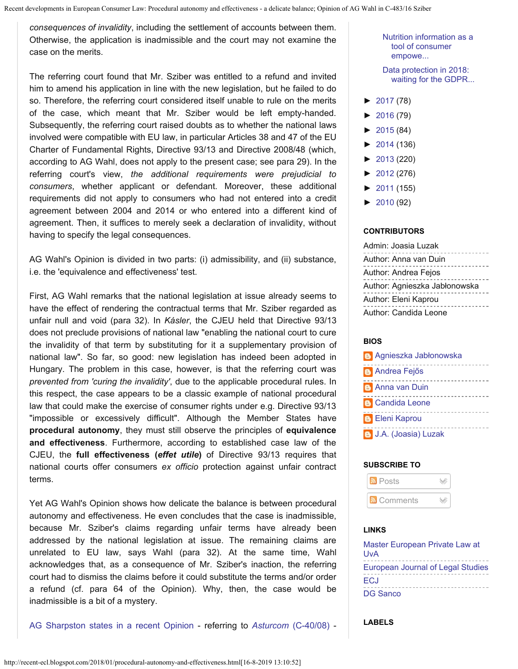*consequences of invalidity*, including the settlement of accounts between them. Otherwise, the application is inadmissible and the court may not examine the case on the merits.

The referring court found that Mr. Sziber was entitled to a refund and invited him to amend his application in line with the new legislation, but he failed to do so. Therefore, the referring court considered itself unable to rule on the merits of the case, which meant that Mr. Sziber would be left empty-handed. Subsequently, the referring court raised doubts as to whether the national laws involved were compatible with EU law, in particular Articles 38 and 47 of the EU Charter of Fundamental Rights, Directive 93/13 and Directive 2008/48 (which, according to AG Wahl, does not apply to the present case; see para 29). In the referring court's view, *the additional requirements were prejudicial to consumers*, whether applicant or defendant. Moreover, these additional requirements did not apply to consumers who had not entered into a credit agreement between 2004 and 2014 or who entered into a different kind of agreement. Then, it suffices to merely seek a declaration of invalidity, without having to specify the legal consequences.

AG Wahl's Opinion is divided in two parts: (i) admissibility, and (ii) substance, i.e. the 'equivalence and effectiveness' test.

First, AG Wahl remarks that the national legislation at issue already seems to have the effect of rendering the contractual terms that Mr. Sziber regarded as unfair null and void (para 32). In *Kásler*, the CJEU held that Directive 93/13 does not preclude provisions of national law "enabling the national court to cure the invalidity of that term by substituting for it a supplementary provision of national law". So far, so good: new legislation has indeed been adopted in Hungary. The problem in this case, however, is that the referring court was *prevented from 'curing the invalidity'*, due to the applicable procedural rules. In this respect, the case appears to be a classic example of national procedural law that could make the exercise of consumer rights under e.g. Directive 93/13 "impossible or excessively difficult". Although the Member States have **procedural autonomy**, they must still observe the principles of **equivalence and effectiveness**. Furthermore, according to established case law of the CJEU, the **full effectiveness (***effet utile***)** of Directive 93/13 requires that national courts offer consumers *ex officio* protection against unfair contract terms.

Yet AG Wahl's Opinion shows how delicate the balance is between procedural autonomy and effectiveness. He even concludes that the case is inadmissible, because Mr. Sziber's claims regarding unfair terms have already been addressed by the national legislation at issue. The remaining claims are unrelated to EU law, says Wahl (para 32). At the same time, Wahl acknowledges that, as a consequence of Mr. Sziber's inaction, the referring court had to dismiss the claims before it could substitute the terms and/or order a refund (cf. para 64 of the Opinion). Why, then, the case would be inadmissible is a bit of a mystery.

AG Sharpston [states in a recent Opinion](http://recent-ecl.blogspot.nl/2017/11/between-equivalence-and-effectiveness.html) - referring to *[Asturcom](http://curia.europa.eu/juris/liste.jsf?num=C-40/08)* [\(C-40/08\)](http://curia.europa.eu/juris/liste.jsf?num=C-40/08) -

[Nutrition information as a](http://recent-ecl.blogspot.com/2018/01/nutrition-information-as-tool-of.html) [tool of consumer](http://recent-ecl.blogspot.com/2018/01/nutrition-information-as-tool-of.html) [empowe...](http://recent-ecl.blogspot.com/2018/01/nutrition-information-as-tool-of.html)

[Data protection in 2018:](http://recent-ecl.blogspot.com/2018/01/data-protection-in-2018-waiting-for-gdpr.html) [waiting for the GDPR...](http://recent-ecl.blogspot.com/2018/01/data-protection-in-2018-waiting-for-gdpr.html)

- $\blacktriangleright$ [2017](http://recent-ecl.blogspot.com/2017/) (78)
- $\blacktriangleright$ [2016](http://recent-ecl.blogspot.com/2016/) (79)
- $\blacktriangleright$ [2015](http://recent-ecl.blogspot.com/2015/) (84)
- [►](javascript:void(0))[2014](http://recent-ecl.blogspot.com/2014/) (136)
- [►](javascript:void(0))[2013](http://recent-ecl.blogspot.com/2013/) (220)
- [►](javascript:void(0))[2012](http://recent-ecl.blogspot.com/2012/) (276)
- [►](javascript:void(0))[2011](http://recent-ecl.blogspot.com/2011/) (155)
- $\blacktriangleright$ [2010](http://recent-ecl.blogspot.com/2010/) (92)

#### **CONTRIBUTORS**

| Admin: Joasia Luzak           |
|-------------------------------|
| Author: Anna van Duin         |
| Author: Andrea Fejos          |
| Author: Agnieszka Jabłonowska |
| Author: Eleni Kaprou          |
| Author: Candida Leone         |

#### **BIOS**

| <b>Agnieszka Jabłonowska</b> |
|------------------------------|
| <b>B</b> Andrea Fejős        |
| <b>Anna van Duin</b>         |
| <b>B</b> Candida Leone       |
| <b>B</b> Eleni Kaprou        |
| <b>B</b> J.A. (Joasia) Luzak |

#### **SUBSCRIBE TO**

| Posts    |  |
|----------|--|
| Comments |  |

#### **LINKS**

| Master European Private Law at<br>UvA    |
|------------------------------------------|
| <b>European Journal of Legal Studies</b> |
| ECJ                                      |
| DG Sanco                                 |

**LABELS**